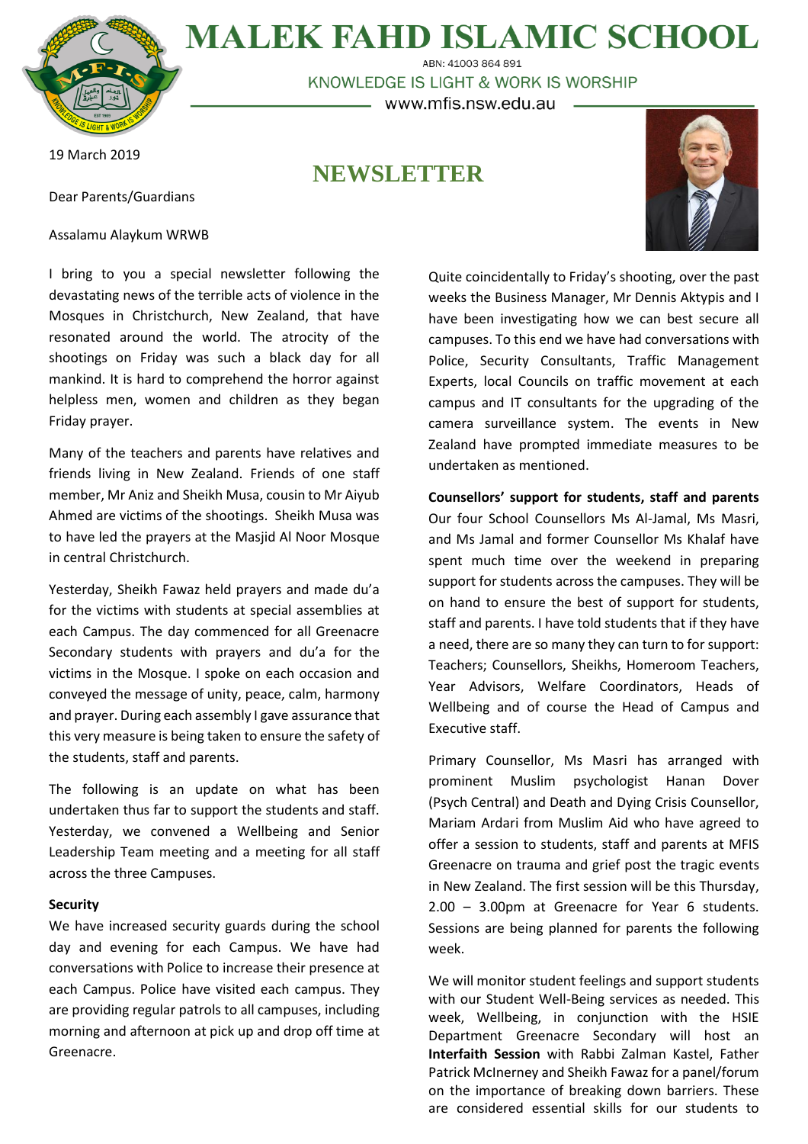

**MALEK FAHD ISLAMIC SCHOOL** ABN: 41003 864 891

KNOWLEDGE IS LIGHT & WORK IS WORSHIP

– www.mfis.nsw.edu.au –

**NEWSLETTER**

19 March 2019

Dear Parents/Guardians

Assalamu Alaykum WRWB



I bring to you a special newsletter following the devastating news of the terrible acts of violence in the Mosques in Christchurch, New Zealand, that have resonated around the world. The atrocity of the shootings on Friday was such a black day for all mankind. It is hard to comprehend the horror against helpless men, women and children as they began Friday prayer.

Many of the teachers and parents have relatives and friends living in New Zealand. Friends of one staff member, Mr Aniz and Sheikh Musa, cousin to Mr Aiyub Ahmed are victims of the shootings. Sheikh Musa was to have led the prayers at the Masjid Al Noor Mosque in central Christchurch.

Yesterday, Sheikh Fawaz held prayers and made du'a for the victims with students at special assemblies at each Campus. The day commenced for all Greenacre Secondary students with prayers and du'a for the victims in the Mosque. I spoke on each occasion and conveyed the message of unity, peace, calm, harmony and prayer. During each assembly I gave assurance that this very measure is being taken to ensure the safety of the students, staff and parents.

The following is an update on what has been undertaken thus far to support the students and staff. Yesterday, we convened a Wellbeing and Senior Leadership Team meeting and a meeting for all staff across the three Campuses.

## **Security**

We have increased security guards during the school day and evening for each Campus. We have had conversations with Police to increase their presence at each Campus. Police have visited each campus. They are providing regular patrols to all campuses, including morning and afternoon at pick up and drop off time at Greenacre.

Quite coincidentally to Friday's shooting, over the past weeks the Business Manager, Mr Dennis Aktypis and I have been investigating how we can best secure all campuses. To this end we have had conversations with Police, Security Consultants, Traffic Management Experts, local Councils on traffic movement at each campus and IT consultants for the upgrading of the camera surveillance system. The events in New Zealand have prompted immediate measures to be undertaken as mentioned.

**Counsellors' support for students, staff and parents** Our four School Counsellors Ms Al-Jamal, Ms Masri, and Ms Jamal and former Counsellor Ms Khalaf have spent much time over the weekend in preparing support for students across the campuses. They will be on hand to ensure the best of support for students, staff and parents. I have told students that if they have a need, there are so many they can turn to for support: Teachers; Counsellors, Sheikhs, Homeroom Teachers, Year Advisors, Welfare Coordinators, Heads of Wellbeing and of course the Head of Campus and Executive staff.

Primary Counsellor, Ms Masri has arranged with prominent Muslim psychologist Hanan Dover (Psych Central) and Death and Dying Crisis Counsellor, Mariam Ardari from Muslim Aid who have agreed to offer a session to students, staff and parents at MFIS Greenacre on trauma and grief post the tragic events in New Zealand. The first session will be this Thursday, 2.00 – 3.00pm at Greenacre for Year 6 students. Sessions are being planned for parents the following week.

We will monitor student feelings and support students with our Student Well-Being services as needed. This week, Wellbeing, in conjunction with the HSIE Department Greenacre Secondary will host an **Interfaith Session** with Rabbi Zalman Kastel, Father Patrick McInerney and Sheikh Fawaz for a panel/forum on the importance of breaking down barriers. These are considered essential skills for our students to